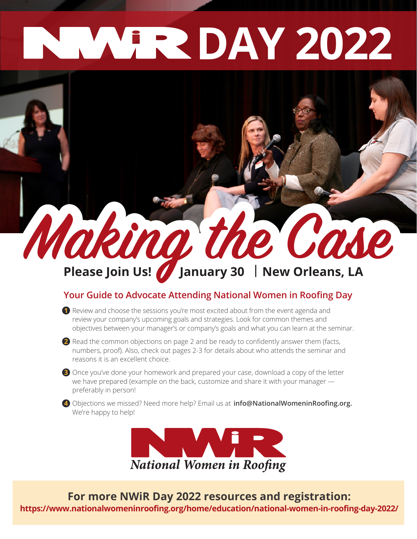## **DAY 2022**

# **Making the Case**

#### **Your Guide to Advocate Attending National Women in Roofing Day**

**1** Review and choose the sessions you're most excited about from the event agenda and review your company's upcoming goals and strategies. Look for common themes and objectives between your manager's or company's goals and what you can learn at the seminar.

2 Read the common objections on page 2 and be ready to confidently answer them (facts, numbers, proof). Also, check out pages 2-3 for details about who attends the seminar and reasons it is an excellent choice.

**3** Once you've done your homework and prepared your case, download a copy of the letter we have prepared (example on the back, customize and share it with your manager preferably in person!

**4** Objections we missed? Need more help? Email us at **info@NationalWomeninRoofing.org.**  We're happy to help!



**For more NWiR Day 2022 resources and registration: https://www.nationalwomeninroofing.org/home/education/national-women-in-roofing-day-2022/**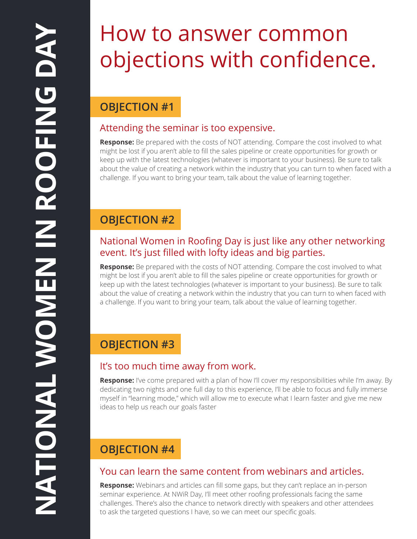### How to answer common objections with confidence.

#### **OBJECTION #1**

#### Attending the seminar is too expensive.

**Response:** Be prepared with the costs of NOT attending. Compare the cost involved to what might be lost if you aren't able to fill the sales pipeline or create opportunities for growth or keep up with the latest technologies (whatever is important to your business). Be sure to talk about the value of creating a network within the industry that you can turn to when faced with a challenge. If you want to bring your team, talk about the value of learning together.

#### **OBJECTION #2**

#### National Women in Roofing Day is just like any other networking event. It's just filled with lofty ideas and big parties.

**Response:** Be prepared with the costs of NOT attending. Compare the cost involved to what might be lost if you aren't able to fill the sales pipeline or create opportunities for growth or keep up with the latest technologies (whatever is important to your business). Be sure to talk about the value of creating a network within the industry that you can turn to when faced with a challenge. If you want to bring your team, talk about the value of learning together.

#### **OBJECTION #3**

#### It's too much time away from work.

**Response:** I've come prepared with a plan of how I'll cover my responsibilities while I'm away. By dedicating two nights and one full day to this experience, I'll be able to focus and fully immerse myself in "learning mode," which will allow me to execute what I learn faster and give me new ideas to help us reach our goals faster

#### **OBJECTION #4**

#### You can learn the same content from webinars and articles.

**Response:** Webinars and articles can fill some gaps, but they can't replace an in-person seminar experience. At NWiR Day, I'll meet other roofing professionals facing the same challenges. There's also the chance to network directly with speakers and other attendees to ask the targeted questions I have, so we can meet our specific goals.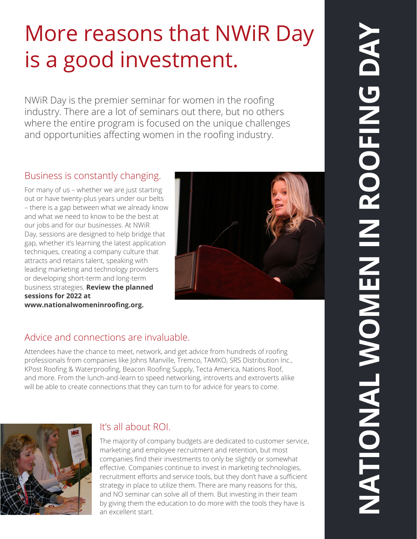## More reasons that NWiR Day is a good investment.

NWiR Day is the premier seminar for women in the roofing industry. There are a lot of seminars out there, but no others where the entire program is focused on the unique challenges and opportunities affecting women in the roofing industry.

#### Business is constantly changing.

For many of us – whether we are just starting out or have twenty-plus years under our belts – there is a gap between what we already know and what we need to know to be the best at our jobs and for our businesses. At NWiR Day, sessions are designed to help bridge that gap, whether it's learning the latest application techniques, creating a company culture that attracts and retains talent, speaking with leading marketing and technology providers or developing short-term and long-term business strategies. **Review the planned sessions for 2022 at www.nationalwomeninroofing.org.**



#### Advice and connections are invaluable.

Attendees have the chance to meet, network, and get advice from hundreds of roofing professionals from companies like Johns Manville, Tremco, TAMKO, SRS Distribution Inc., KPost Roofing & Waterproofing, Beacon Roofing Supply, Tecta America, Nations Roof, and more. From the lunch-and-learn to speed networking, introverts and extroverts alike will be able to create connections that they can turn to for advice for years to come.



#### It's all about ROI.

The majority of company budgets are dedicated to customer service, marketing and employee recruitment and retention, but most companies find their investments to only be slightly or somewhat effective. Companies continue to invest in marketing technologies, recruitment efforts and service tools, but they don't have a sufficient strategy in place to utilize them. There are many reasons for this, and NO seminar can solve all of them. But investing in their team by giving them the education to do more with the tools they have is an excellent start.